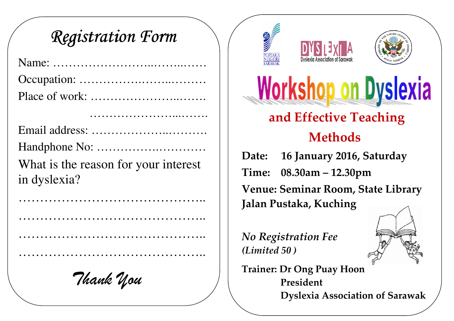## Registration Form

…………………...…….

Email address: ………………..………. Handphone No: …………….………… What is the reason for your interest in dyslexia?

……………………………………..

……………………………………..

Thank You







# **Workshop on Dyslexia**

## and Effective Teaching Methods

Date: 16 January 2016, Saturday Time: 08.30am – 12.30pm Venue: Seminar Room, State Library Jalan Pustaka, Kuching

No Registration Fee (Limited 50 )



Trainer: Dr Ong Puay Hoon President Dyslexia Association of Sarawak